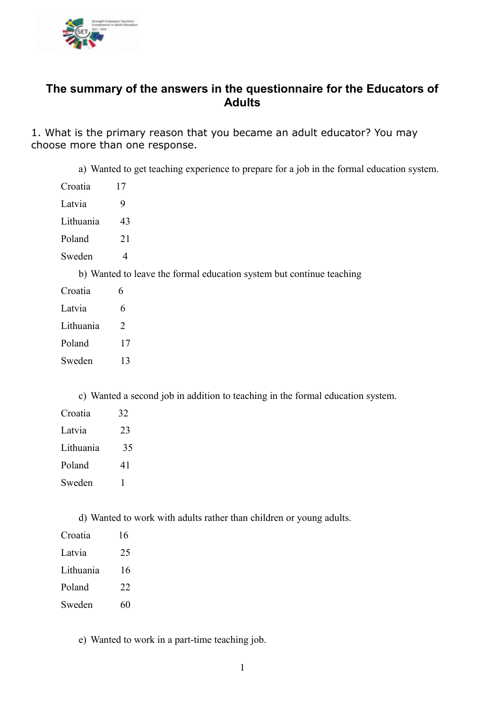

## **The summary of the answers in the questionnaire for the Educators of Adults**

1. What is the primary reason that you became an adult educator? You may choose more than one response.

a) Wanted to get teaching experience to prepare for a job in the formal education system.

| 17 |
|----|
| 9  |
| 43 |
|    |

Poland 21

Sweden 4

b) Wanted to leave the formal education system but continue teaching

| Croatia   | 6  |
|-----------|----|
| Latvia    | 6  |
| Lithuania | 2  |
| Poland    | 17 |
| Sweden    | 13 |

c) Wanted a second job in addition to teaching in the formal education system.

| Croatia   | 32 |
|-----------|----|
| Latvia    | 23 |
| Lithuania | 35 |
| Poland    | 41 |
| Sweden    |    |

d) Wanted to work with adults rather than children or young adults.

| Croatia   | 16 |
|-----------|----|
| Latvia    | 25 |
| Lithuania | 16 |
| Poland    | 22 |
| Sweden    | 60 |

e) Wanted to work in a part-time teaching job.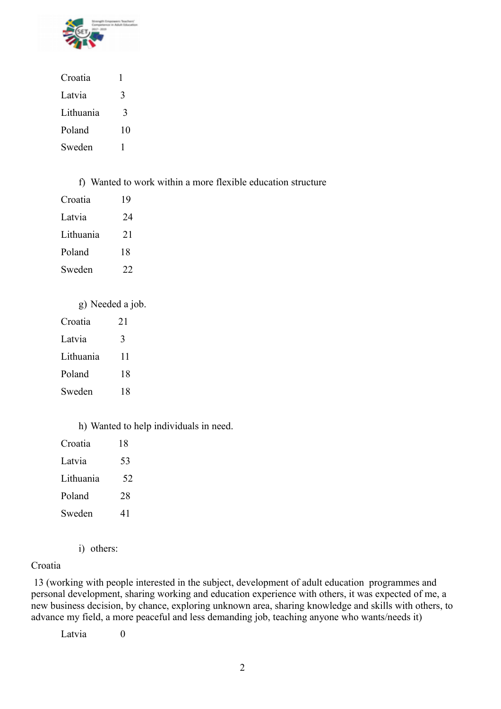

| Croatia   |    |
|-----------|----|
| Latvia    | 3  |
| Lithuania | 3  |
| Poland    | 10 |
| Sweden    |    |

f) Wanted to work within a more flexible education structure

| Croatia   | 19 |
|-----------|----|
| Latvia    | 24 |
| Lithuania | 21 |
| Poland    | 18 |
| Sweden    | 22 |

g) Needed a job.

| Croatia   | 21 |
|-----------|----|
| Latvia    | 3  |
| Lithuania | 11 |
| Poland    | 18 |
| Sweden    | 18 |

h) Wanted to help individuals in need.

| Croatia   | 18 |
|-----------|----|
| Latvia    | 53 |
| Lithuania | 52 |
| Poland    | 28 |
| Sweden    | 41 |
|           |    |

i) others:

#### Croatia

13 (working with people interested in the subject, development of adult education programmes and personal development, sharing working and education experience with others, it was expected of me, a new business decision, by chance, exploring unknown area, sharing knowledge and skills with others, to advance my field, a more peaceful and less demanding job, teaching anyone who wants/needs it)

Latvia 0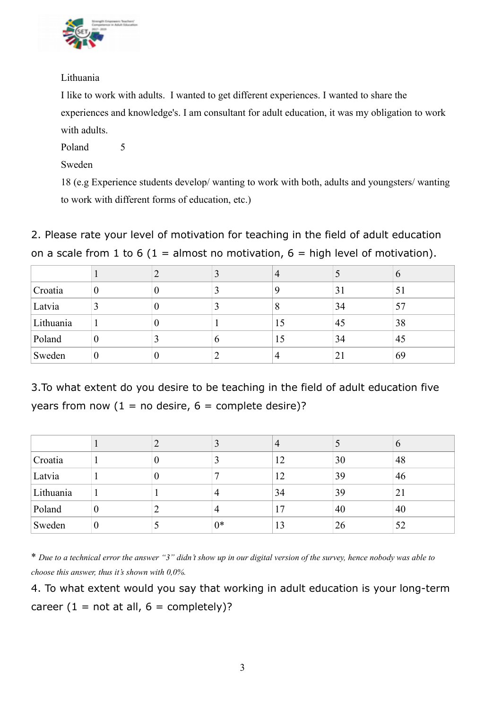

#### Lithuania

I like to work with adults. I wanted to get different experiences. I wanted to share the experiences and knowledge's. I am consultant for adult education, it was my obligation to work with adults.

Poland 5

Sweden

18 (e.g Experience students develop/ wanting to work with both, adults and youngsters/ wanting to work with different forms of education, etc.)

2. Please rate your level of motivation for teaching in the field of adult education on a scale from 1 to 6 (1 = almost no motivation,  $6 =$  high level of motivation).

|           |   |   |    |    | $\mathbf U$ |
|-----------|---|---|----|----|-------------|
| Croatia   | υ | v |    | 31 | 51          |
| Latvia    |   | υ | 8  | 34 | 57          |
| Lithuania |   | v | 15 | 45 | 38          |
| Poland    | v |   | 15 | 34 | 45          |
| Sweden    |   | v |    | 21 | 69          |

3.To what extent do you desire to be teaching in the field of adult education five years from now  $(1 = no$  desire,  $6 =$  complete desire)?

|           |          |   |      |     |    | $\mathbf 0$ |
|-----------|----------|---|------|-----|----|-------------|
| Croatia   |          | U |      | 12  | 30 | 48          |
| Latvia    |          | U |      | 12  | 39 | 46          |
| Lithuania |          |   | 4    | 34  | 39 | 21          |
| Poland    | $\theta$ |   | 4    | 7 ا | 40 | 40          |
| Sweden    |          |   | $0*$ | 13  | 26 | 52          |

\* *Due to a technical error the answer "3" didn't show up in our digital version of the survey, hence nobody was able to choose this answer, thus it's shown with 0,0%.*

4. To what extent would you say that working in adult education is your long-term career  $(1 = not at all, 6 = completely)?$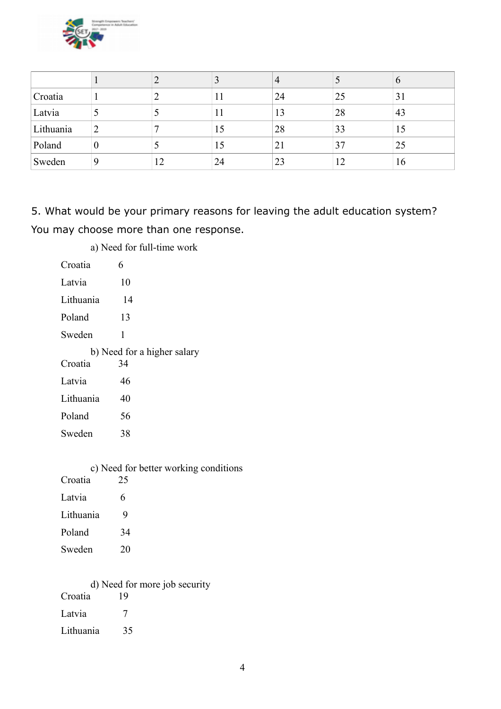

|           |                  |    |    |    |    | $\mathbf 0$ |
|-----------|------------------|----|----|----|----|-------------|
| Croatia   |                  |    | 11 | 24 | 25 | 31          |
| Latvia    |                  |    | 11 | 13 | 28 | 43          |
| Lithuania | $\overline{2}$   |    | 15 | 28 | 33 | 15          |
| Poland    | $\boldsymbol{0}$ |    | 15 | 21 | 37 | 25          |
| Sweden    | Q                | 12 | 24 | 23 | 12 | 16          |

5. What would be your primary reasons for leaving the adult education system? You may choose more than one response.

a) Need for full-time work

| Croatia   | 6                           |
|-----------|-----------------------------|
| Latvia    | 10                          |
| Lithuania | 14                          |
| Poland    | 13                          |
| Sweden    | 1                           |
|           | b) Need for a higher salary |
| Croatia   | 34                          |
| Latvia    | 46                          |
|           |                             |
| Lithuania | 40                          |
| Poland    | 56                          |

| c) Need for better working conditions |    |  |  |  |  |  |  |
|---------------------------------------|----|--|--|--|--|--|--|
| Croatia                               | 25 |  |  |  |  |  |  |
| Latvia                                | 6  |  |  |  |  |  |  |
| Lithuania                             | 9  |  |  |  |  |  |  |
| Poland                                | 34 |  |  |  |  |  |  |
| Sweden                                | 20 |  |  |  |  |  |  |

|           | d) Need for more job security |
|-----------|-------------------------------|
| Croatia   | 19                            |
| Latvia    |                               |
| Lithuania | 35                            |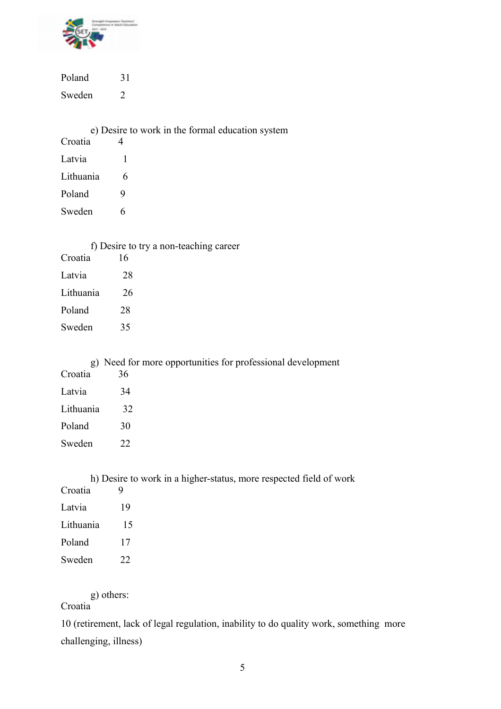

Poland 31 Sweden 2

|           | e) Desire to work in the formal education system |
|-----------|--------------------------------------------------|
| Croatia   |                                                  |
| Latvia    |                                                  |
| Lithuania |                                                  |
| Poland    |                                                  |
| Sweden    |                                                  |

|           | f) Desire to try a non-teaching career |
|-----------|----------------------------------------|
| Croatia   | 16                                     |
| Latvia    | 28                                     |
| Lithuania | 26                                     |
| Poland    | 28                                     |
| Sweden    | 35                                     |

|           |    | g) Need for more opportunities for professional development |
|-----------|----|-------------------------------------------------------------|
| Croatia   | 36 |                                                             |
| Latvia    | 34 |                                                             |
| Lithuania | 32 |                                                             |
| Poland    | 30 |                                                             |
| Sweden    | 22 |                                                             |

|           | h) Desire to work in a higher-status, more respected field of work |
|-----------|--------------------------------------------------------------------|
| Croatia 9 |                                                                    |
|           |                                                                    |

| Latvia    | 19 |
|-----------|----|
| Lithuania | 15 |
| Poland    | 17 |
| Sweden    | 22 |

g) others:

# Croatia

10 (retirement, lack of legal regulation, inability to do quality work, something more challenging, illness)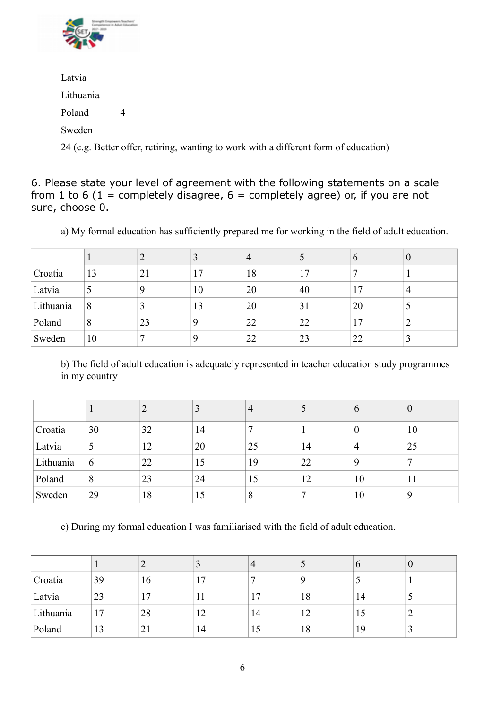

Latvia Lithuania Poland 4

Sweden

24 (e.g. Better offer, retiring, wanting to work with a different form of education)

6. Please state your level of agreement with the following statements on a scale from 1 to 6 (1 = completely disagree,  $6$  = completely agree) or, if you are not sure, choose 0.

a) My formal education has sufficiently prepared me for working in the field of adult education.

|           |    |    | ◡  | 4  |                 | v               | $\theta$ |
|-----------|----|----|----|----|-----------------|-----------------|----------|
| Croatia   | 13 | 21 | 17 | 18 | $\overline{17}$ |                 |          |
| Latvia    |    |    | 10 | 20 | 40              |                 | 4        |
| Lithuania | 8  |    | 13 | 20 | 31              | 20              | J        |
| Poland    | 8  | 23 | Q  | 22 | 22              | $\overline{17}$ |          |
| Sweden    | 10 |    | Q  | 22 | 23              | 22              | Ć        |

b) The field of adult education is adequately represented in teacher education study programmes in my country

|           |    |    |    |    |    | $\mathfrak b$ | v  |
|-----------|----|----|----|----|----|---------------|----|
| Croatia   | 30 | 32 | 14 |    |    | $\theta$      | 10 |
| Latvia    |    | 12 | 20 | 25 | 14 | 4             | 25 |
| Lithuania | 6  | 22 | 15 | 19 | 22 | Q             |    |
| Poland    | 8  | 23 | 24 | 15 | 12 | 10            | 11 |
| Sweden    | 29 | 18 | 15 | 8  |    | 10            |    |

c) During my formal education I was familiarised with the field of adult education.

|           |    |            |    |    |    | v   | U        |
|-----------|----|------------|----|----|----|-----|----------|
| Croatia   | 39 | 16         |    |    |    |     |          |
| Latvia    | 23 | 17         | 11 |    | 18 | 14  | ັ        |
| Lithuania | 7  | 28         | 12 | 14 | 12 | 1 J | ∸        |
| Poland    | 13 | $\angle 1$ | 14 | 15 | 18 | 19  | <u>ب</u> |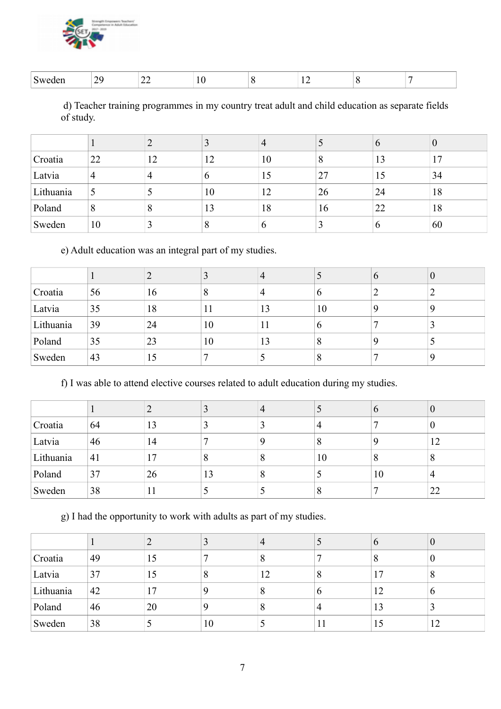

| -<br>__ | -- | __ | . . |  |
|---------|----|----|-----|--|

d) Teacher training programmes in my country treat adult and child education as separate fields of study.

|           |    |         |    |    |         | $\Omega$ | v  |
|-----------|----|---------|----|----|---------|----------|----|
| Croatia   | 22 | 12      | 12 | 10 | $\circ$ | 13       | 17 |
| Latvia    | 4  | 4       | n  | 15 | 27      | 15       | 34 |
| Lithuania | J  |         | 10 | 12 | 26      | 24       | 18 |
| Poland    | 8  | $\circ$ | 13 | 18 | 16      | 22       | 18 |
| Sweden    | 10 |         |    | O  |         | b        | 60 |

e) Adult education was an integral part of my studies.

|           |    |                 |    |    |               | $\Omega$ | ν |
|-----------|----|-----------------|----|----|---------------|----------|---|
| Croatia   | 56 | 16              |    |    | O             |          |   |
| Latvia    | 35 | 18              |    | 13 | 10            |          |   |
| Lithuania | 39 | 24              | 10 | 11 | O             |          |   |
| Poland    | 35 | 23              | 10 | 13 | $\Omega$<br>O |          |   |
| Sweden    | 43 | 15 <sup>2</sup> |    |    | ∩             |          |   |

f) I was able to attend elective courses related to adult education during my studies.

|           |    |    |    |         |          | v  | U  |
|-----------|----|----|----|---------|----------|----|----|
| Croatia   | 64 | 13 |    |         |          |    | U  |
| Latvia    | 46 | 14 |    |         | $\Omega$ |    | 12 |
| Lithuania | 41 | 17 |    | $\circ$ | 10       |    | O  |
| Poland    | 37 | 26 | 13 | $\circ$ |          | 10 | 4  |
| Sweden    | 38 |    |    |         | $\Omega$ |    | 22 |

g) I had the opportunity to work with adults as part of my studies.

|           |    |                 |          |         |          |    | v       |
|-----------|----|-----------------|----------|---------|----------|----|---------|
| Croatia   | 49 | 15              |          | $\circ$ |          |    | ν       |
| Latvia    | 37 | 15              | 8        | 12      | $\circ$  | 17 | $\circ$ |
| Lithuania | 42 | $\overline{17}$ | $\Omega$ | O       | $\sigma$ | 12 | O       |
| Poland    | 46 | 20              |          | ◠       |          | 13 |         |
| Sweden    | 38 |                 | 10       |         | ΙI       | 15 |         |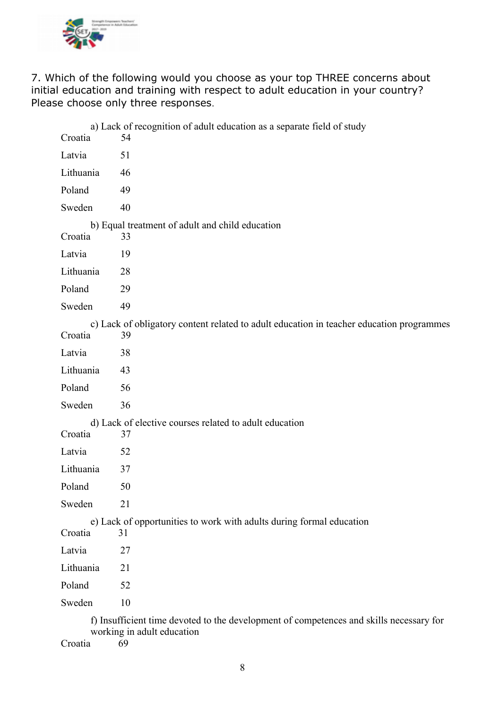

7. Which of the following would you choose as your top THREE concerns about initial education and training with respect to adult education in your country? Please choose only three responses.

|           | a) Lack of recognition of adult education as a separate field of study                   |
|-----------|------------------------------------------------------------------------------------------|
| Croatia   | 54                                                                                       |
| Latvia    | 51                                                                                       |
| Lithuania | 46                                                                                       |
| Poland    | 49                                                                                       |
| Sweden    | 40                                                                                       |
|           | b) Equal treatment of adult and child education                                          |
| Croatia   | 33                                                                                       |
| Latvia    | 19                                                                                       |
| Lithuania | 28                                                                                       |
| Poland    | 29                                                                                       |
| Sweden    | 49                                                                                       |
|           | c) Lack of obligatory content related to adult education in teacher education programmes |
| Croatia   | 39                                                                                       |
| Latvia    | 38                                                                                       |
| Lithuania | 43                                                                                       |
| Poland    | 56                                                                                       |
| Sweden    | 36                                                                                       |
|           | d) Lack of elective courses related to adult education                                   |
| Croatia   | 37                                                                                       |
| Latvia    | 52                                                                                       |
| Lithuania | 37                                                                                       |
| Poland    | 50                                                                                       |
| Sweden    | 21                                                                                       |
|           | e) Lack of opportunities to work with adults during formal education                     |
| Croatia   | 31                                                                                       |
| Latvia    | 27                                                                                       |
| Lithuania | 21                                                                                       |
| Poland    | 52                                                                                       |
| Sweden    | 10                                                                                       |
|           | f) Insufficient time devoted to the development of competences and skills necessary for  |

working in adult education<br> $h^{0.69}$ 

Croatia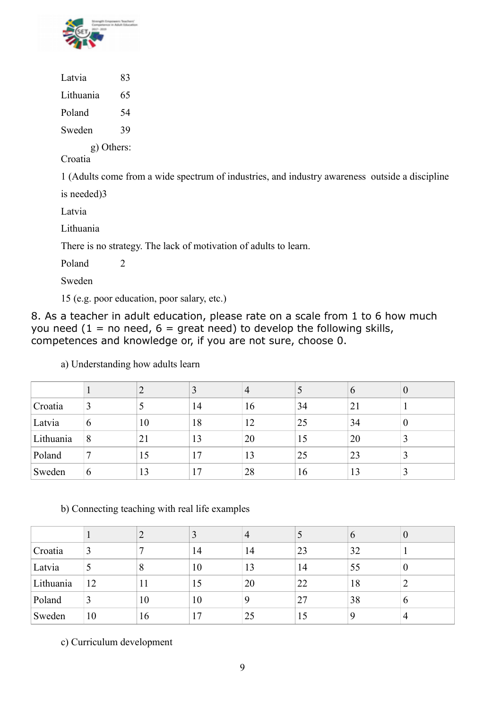

| Latvia    | 83         |
|-----------|------------|
| Lithuania | 65         |
| Poland    | 54         |
| Sweden    | 39         |
|           | g) Others: |

Croatia

1 (Adults come from a wide spectrum of industries, and industry awareness outside a discipline

is needed)3

Latvia

Lithuania

There is no strategy. The lack of motivation of adults to learn.

Poland 2

Sweden

15 (e.g. poor education, poor salary, etc.)

8. As a teacher in adult education, please rate on a scale from 1 to 6 how much you need (1 = no need, 6 = great need) to develop the following skills, competences and knowledge or, if you are not sure, choose 0.

|           |               |    |    |    |    | $\Omega$ | $\theta$         |
|-----------|---------------|----|----|----|----|----------|------------------|
| Croatia   | 3             | J  | 14 | 16 | 34 | 21       |                  |
| Latvia    | $\mathfrak b$ | 10 | 18 | 12 | 25 | 34       | $\boldsymbol{0}$ |
| Lithuania | 8             | 21 | 13 | 20 | 15 | 20       | 3                |
| Poland    |               | 15 | 17 | 13 | 25 | 23       | ◠<br>3           |
| Sweden    | 6             | 13 | 17 | 28 | 16 | 13       |                  |

a) Understanding how adults learn

#### b) Connecting teaching with real life examples

|           |    |              |    | 4  |    | $\mathbf{D}$ | $\boldsymbol{0}$ |
|-----------|----|--------------|----|----|----|--------------|------------------|
| Croatia   |    |              | 14 | 14 | 23 | 32           |                  |
| Latvia    |    | 8            | 10 | 13 | 14 | 55           | $\boldsymbol{0}$ |
| Lithuania | 12 | $\mathbf{L}$ | 15 | 20 | 22 | 18           |                  |
| Poland    | 3  | 10           | 10 | Q  | 27 | 38           | $\mathfrak b$    |
| Sweden    | 10 | 16           | 17 | 25 | 15 |              |                  |

c) Curriculum development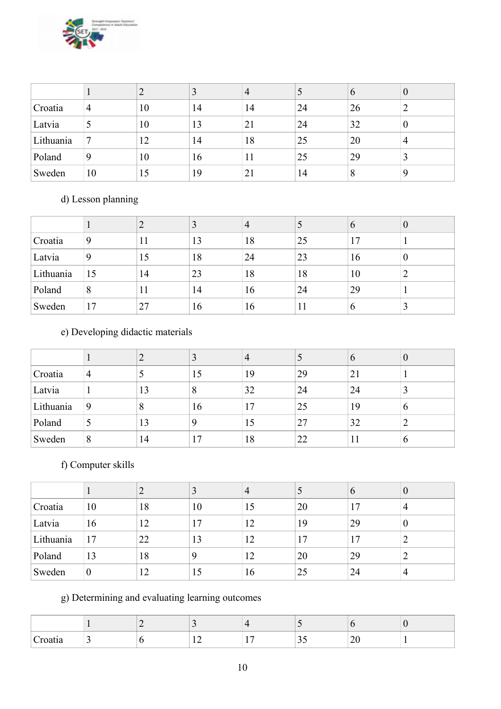

|           |    |    | $\cdot$ | 4  |    | 6  | v |
|-----------|----|----|---------|----|----|----|---|
| Croatia   | 4  | 10 | 14      | 14 | 24 | 26 |   |
| Latvia    |    | 10 | 13      | 21 | 24 | 32 | O |
| Lithuania |    | 12 | 14      | 18 | 25 | 20 |   |
| Poland    | 9  | 10 | 16      | 11 | 25 | 29 |   |
| Sweden    | 10 | 15 | 19      | 21 | 14 | 8  | 9 |

## d) Lesson planning

|           |    |    | $\mathbf 3$ | 4  |    | $\mathfrak b$ | v |
|-----------|----|----|-------------|----|----|---------------|---|
| Croatia   | 9  | 11 | 13          | 18 | 25 | 17            |   |
| Latvia    | 9  | 15 | 18          | 24 | 23 | 16            | v |
| Lithuania | 15 | 14 | 23          | 18 | 18 | 10            |   |
| Poland    | 8  | 11 | 14          | 16 | 24 | 29            |   |
| Sweden    | 17 | 27 | 16          | 16 | 11 | $\mathfrak b$ |   |

e) Developing didactic materials

|           |   |    | $\cdot$ | 4  |    | $\mathfrak b$ | v             |
|-----------|---|----|---------|----|----|---------------|---------------|
| Croatia   | 4 |    | 15      | 19 | 29 | 21            |               |
| Latvia    |   | 13 |         | 32 | 24 | 24            |               |
| Lithuania | 9 | 8  | 16      | 17 | 25 | 19            | $\mathfrak b$ |
| Poland    |   | 13 |         | 15 | 27 | 32            |               |
| Sweden    | 8 | 14 | 17      | 18 | 22 | . .           | $\mathfrak b$ |

## f) Computer skills

|           |    |    |    | 4  |    | $\sigma$ | $\boldsymbol{0}$ |
|-----------|----|----|----|----|----|----------|------------------|
| Croatia   | 10 | 18 | 10 | 15 | 20 | 17       | 4                |
| Latvia    | 16 | 12 | 17 | 12 | 19 | 29       | $\boldsymbol{0}$ |
| Lithuania | 17 | 22 | 13 | 12 | 17 | 17       |                  |
| Poland    | 13 | 18 |    | 12 | 20 | 29       |                  |
| Sweden    | U  | 12 | 15 | 16 | 25 | 24       | 4                |

# g) Determining and evaluating learning outcomes

| ,<br>- |  | $\overline{\phantom{0}}$ | ັ້ | ∠∪ |  |
|--------|--|--------------------------|----|----|--|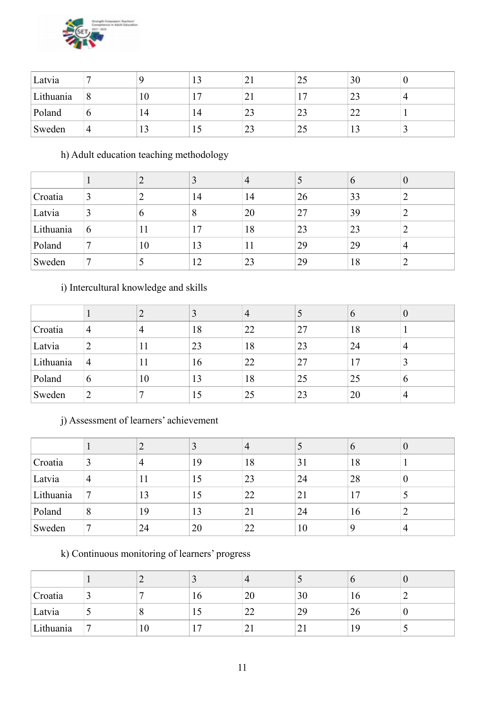

| Latvia    |         |     | IJ | ∠⊥ | ں کے     | 30  | ν |
|-----------|---------|-----|----|----|----------|-----|---|
| Lithuania | $\circ$ | ⊥U. |    | ∠⊥ |          | ر ے |   |
| Poland    |         |     | 14 | 23 | دړ       | ∠∠  |   |
| Sweden    |         |     | IJ | 23 | $\Delta$ |     |   |

## h) Adult education teaching methodology

|           |   |          |    | 4  |    | $\sigma$ | $\boldsymbol{0}$ |
|-----------|---|----------|----|----|----|----------|------------------|
| Croatia   |   |          | 14 | 14 | 26 | 33       | $\overline{2}$   |
| Latvia    |   | $\sigma$ |    | 20 | 27 | 39       | $\overline{2}$   |
| Lithuania | 6 | LΙ       | 17 | 18 | 23 | 23       |                  |
| Poland    |   | 10       | 13 |    | 29 | 29       | 4                |
| Sweden    |   |          | 12 | 23 | 29 | 18       |                  |

## i) Intercultural knowledge and skills

|           |                |                |    | 4  |    | $\mathbf b$ | v             |
|-----------|----------------|----------------|----|----|----|-------------|---------------|
| Croatia   | 4              | $\overline{4}$ | 18 | 22 | 27 | 18          |               |
| Latvia    |                | 11             | 23 | 18 | 23 | 24          |               |
| Lithuania | $\overline{4}$ | 1 I            | 16 | 22 | 27 | 17          |               |
| Poland    | 6              | 10             | 13 | 18 | 25 | 25          | $\mathfrak b$ |
| Sweden    | 2              |                | 15 | 25 | 23 | 20          |               |

## j) Assessment of learners' achievement

|           |   |    | J. | 4  |    | $\mathfrak b$ | v        |
|-----------|---|----|----|----|----|---------------|----------|
| Croatia   | 3 | 4  | 19 | 18 | 31 | 18            |          |
| Latvia    | 4 | 11 | 15 | 23 | 24 | 28            | $\theta$ |
| Lithuania | 7 | 13 | 15 | 22 | 21 | 17            | C        |
| Poland    | 8 | 19 | 13 | 21 | 24 | 16            | ∍        |
| Sweden    |   | 24 | 20 | 22 | 10 | Q             | 4        |

## k) Continuous monitoring of learners' progress

|           |   |    | $\overline{\phantom{0}}$ |    |          |                |  |
|-----------|---|----|--------------------------|----|----------|----------------|--|
| Croatia   | ت |    | 10                       | 20 | 30       | 10             |  |
| Latvia    |   |    | IJ                       | 22 | 29       | Z <sub>0</sub> |  |
| Lithuania |   | 10 |                          | 21 | $\sim$ 1 | 19             |  |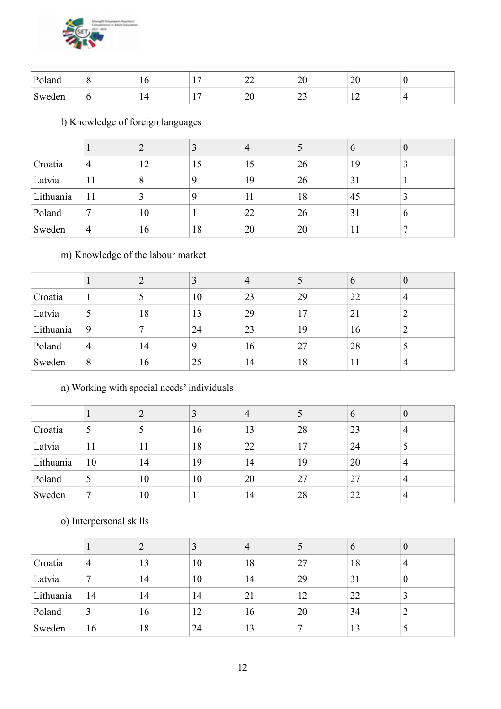

| D <sub>olone</sub><br>vialiu |   | $\overline{1}$ | . .<br>$\overline{\phantom{a}}$ | $\sim$<br>$\overline{\phantom{a}}$ | $\sim$<br>∠∪ | – ∠∪           | ◡ |
|------------------------------|---|----------------|---------------------------------|------------------------------------|--------------|----------------|---|
| Sweden                       | ` | .              | . .<br>$\overline{\phantom{a}}$ | $\sim$<br>∠∪                       | ر_           | $\overline{1}$ |   |

# l) Knowledge of foreign languages

|           |    |    |    | 4  |    | $\sigma$     | $\boldsymbol{0}$ |
|-----------|----|----|----|----|----|--------------|------------------|
| Croatia   |    | 12 | 15 | 15 | 26 | 19           | $\mathbf 3$      |
| Latvia    | 11 | 8  |    | 19 | 26 | 31           |                  |
| Lithuania | 11 |    |    | 11 | 18 | 45           |                  |
| Poland    |    | 10 |    | 22 | 26 | 31           | 6                |
| Sweden    | 4  | 16 | 18 | 20 | 20 | $\mathbf{I}$ |                  |

## m) Knowledge of the labour market

|           |   |    |    | 4  |        | $\Omega$ | $\boldsymbol{0}$ |
|-----------|---|----|----|----|--------|----------|------------------|
| Croatia   |   |    | 10 | 23 | 29     | 22       | 4                |
| Latvia    |   | 18 | 13 | 29 | $17\,$ | 21       | $\overline{2}$   |
| Lithuania | 9 |    | 24 | 23 | 19     | 16       | ∠                |
| Poland    | 4 | 14 | Q  | 16 | 27     | 28       |                  |
| Sweden    | 8 | 16 | 25 | 14 | 18     | 11       | 4                |

## n) Working with special needs' individuals

|           |    |     |    | 4  |        | $\mathbf b$ | V              |
|-----------|----|-----|----|----|--------|-------------|----------------|
| Croatia   |    | C   | 16 | 13 | 28     | 23          | $\overline{4}$ |
| Latvia    | 11 | l l | 18 | 22 | $17\,$ | 24          |                |
| Lithuania | 10 | 14  | 19 | 14 | 19     | 20          | $\overline{4}$ |
| Poland    |    | 10  | 10 | 20 | 27     | 27          | $\overline{4}$ |
| Sweden    |    | 10  | Ħ  | 14 | 28     | 22          | $\overline{4}$ |

## o) Interpersonal skills

|           |    |    |    |    |    | $\Omega$ | $\theta$         |
|-----------|----|----|----|----|----|----------|------------------|
| Croatia   | 4  | 13 | 10 | 18 | 27 | 18       | 4                |
| Latvia    |    | 14 | 10 | 14 | 29 | 31       | $\boldsymbol{0}$ |
| Lithuania | 14 | 14 | 14 | 21 | 12 | 22       |                  |
| Poland    |    | 16 | 12 | 16 | 20 | 34       | ∠                |
| Sweden    | 16 | 18 | 24 | 13 |    | 13       |                  |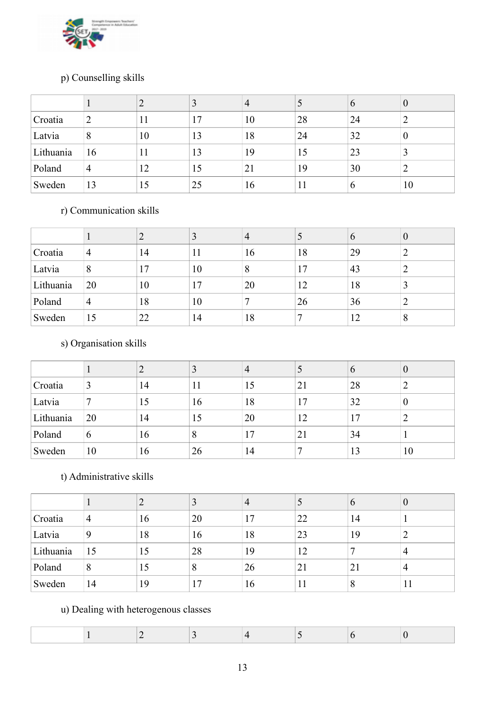

## p) Counselling skills

|           |    |     |    | 4  |    | $\mathbf b$   | v  |
|-----------|----|-----|----|----|----|---------------|----|
| Croatia   |    | T T | 17 | 10 | 28 | 24            |    |
| Latvia    | 8  | 10  | 13 | 18 | 24 | 32            | v  |
| Lithuania | 16 | 11  | 13 | 19 | 15 | 23            |    |
| Poland    | 4  | 12  | 15 | 21 | 19 | 30            |    |
| Sweden    | 13 | 15  | 25 | 16 | 11 | $\mathfrak b$ | 10 |

## r) Communication skills

|           |    |    |    | 4  |    | $\mathbf b$ | v |
|-----------|----|----|----|----|----|-------------|---|
| Croatia   | 4  | 14 | 11 | 16 | 18 | 29          |   |
| Latvia    | 8  | רו | 10 | 8  | 17 | 43          |   |
| Lithuania | 20 | 10 | 17 | 20 | 12 | 18          |   |
| Poland    | 4  | 18 | 10 |    | 26 | 36          |   |
| Sweden    | 15 | 22 | 14 | 18 |    | 1 ^<br>12   | 8 |

## s) Organisation skills

|           |    |    |          |    |                 | $\mathbf{D}$ | $\boldsymbol{0}$ |
|-----------|----|----|----------|----|-----------------|--------------|------------------|
| Croatia   |    | 14 | 11       | 15 | 21              | 28           | ∠                |
| Latvia    |    | 15 | 16       | 18 | $\overline{17}$ | 32           | $\boldsymbol{0}$ |
| Lithuania | 20 | 14 | 15       | 20 | 12              | 17           |                  |
| Poland    | 6  | 16 | $\Omega$ | 17 | 21              | 34           |                  |
| Sweden    | 10 | 16 | 26       | 14 |                 | 13           | 10               |

## t) Administrative skills

|           |    |    |    |    |    | $\mathbf{v}$ | v   |
|-----------|----|----|----|----|----|--------------|-----|
| Croatia   | 4  | 16 | 20 | 17 | 22 | 14           |     |
| Latvia    | 9  | 18 | 16 | 18 | 23 | 19           |     |
| Lithuania | 15 | 15 | 28 | 19 | 12 |              | 4   |
| Poland    | 8  | 15 |    | 26 | 21 | 21           | 4   |
| Sweden    | 14 | 19 | 17 | 16 | 11 | 8            | -14 |

## u) Dealing with heterogenous classes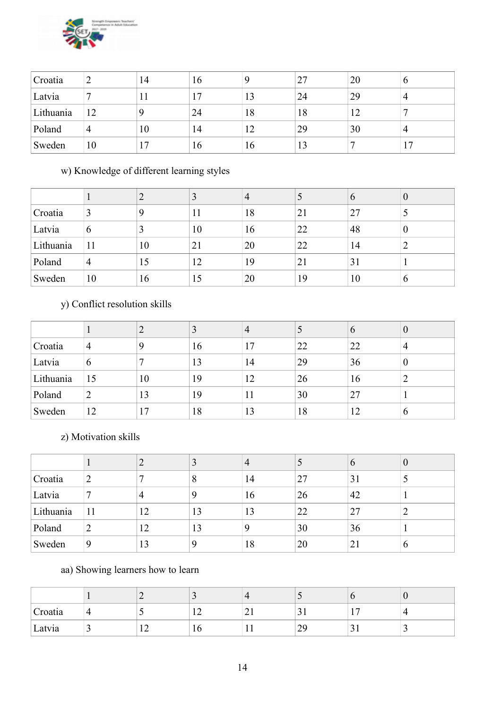

| Croatia   |    | 14 | 16 | Q  | 27 | 20 | v  |
|-----------|----|----|----|----|----|----|----|
| Latvia    |    |    | 17 | 13 | 24 | 29 |    |
| Lithuania | 12 | Q  | 24 | 18 | 18 | 12 |    |
| Poland    | 4  | 10 | 14 | 12 | 29 | 30 |    |
| Sweden    | 10 | 17 | 16 | 16 | 13 |    | 17 |

## w) Knowledge of different learning styles

|           |    |             |    | 4  |    | $\mathbf b$ | v             |
|-----------|----|-------------|----|----|----|-------------|---------------|
| Croatia   | 3  | $\mathbf Q$ | 11 | 18 | 21 | 27          |               |
| Latvia    | 6  |             | 10 | 16 | 22 | 48          | U             |
| Lithuania | 11 | 10          | 21 | 20 | 22 | 14          |               |
| Poland    | 4  | 15          | 12 | 19 | 21 | 31          |               |
| Sweden    | 10 | 16          | 15 | 20 | 19 | 10          | $\mathfrak b$ |

## y) Conflict resolution skills

|           |               |                 | 3  | 4  |    | $\mathbf b$ | v        |
|-----------|---------------|-----------------|----|----|----|-------------|----------|
| Croatia   | 4             | Q               | 16 | 17 | 22 | 22          | 4        |
| Latvia    | $\mathfrak b$ |                 | 13 | 14 | 29 | 36          | U        |
| Lithuania | 15            | 10              | 19 | 12 | 26 | 16          |          |
| Poland    | 2             | 13              | 19 | 11 | 30 | 27          |          |
| Sweden    | 12            | $\overline{17}$ | 18 | 13 | 18 |             | $\sigma$ |

## z) Motivation skills

|           |    |    |    | 4  |    | $\mathfrak b$ | v |
|-----------|----|----|----|----|----|---------------|---|
| Croatia   | 2  |    |    | 14 | 27 | 31            |   |
| Latvia    |    | 4  |    | 16 | 26 | 42            |   |
| Lithuania | 11 | 12 | 13 | 13 | 22 | 27            |   |
| Poland    | 2  | 12 | 13 | 9  | 30 | 36            |   |
| Sweden    | 9  | 13 |    | 18 | 20 | 21            | O |

## aa) Showing learners how to learn

| Croatia |   | ∸  | $\sim$ 1 |                   |      |  |
|---------|---|----|----------|-------------------|------|--|
| Latvia  | ∸ | 10 | 1 L      | $\gamma c$<br>ر ب | ຸບ ⊥ |  |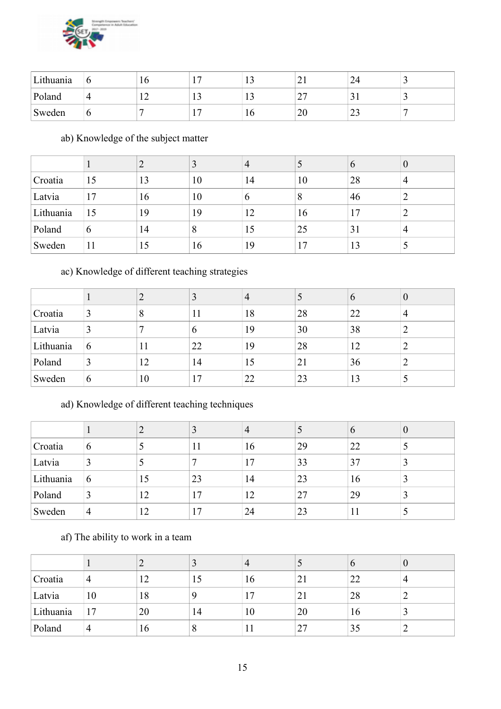

| Lithuania | $\boldsymbol{\sigma}$ | 1 Ο                      | −             |     | $\overline{\phantom{a}}$ | ∼       |  |
|-----------|-----------------------|--------------------------|---------------|-----|--------------------------|---------|--|
| Poland    |                       | $\overline{\phantom{0}}$ | ⊥ ~           | ن و | ∠                        | ັ       |  |
| Sweden    | O                     |                          | -<br><b>.</b> | 10  | ∠∪                       | ⌒<br>ر∠ |  |

# ab) Knowledge of the subject matter

|           |    |     |    |             |     | $\Omega$ | $\boldsymbol{0}$ |
|-----------|----|-----|----|-------------|-----|----------|------------------|
| Croatia   | 15 | 13  | 10 | 14          | 10  | 28       | 4                |
| Latvia    | 17 | 16  | 10 | $\mathbf b$ | 8   | 46       |                  |
| Lithuania | 15 | 19  | 19 | 12          | 16  | ۱7       | ∠                |
| Poland    | 6  | 14  | δ  | 15          | 25  | 31       | 4                |
| Sweden    |    | L C | 16 | 19          | 7 ا | 13       |                  |

## ac) Knowledge of different teaching strategies

|           |   |     |                | $\overline{4}$ |    | $\mathbf b$ | v |
|-----------|---|-----|----------------|----------------|----|-------------|---|
| Croatia   | 3 | 8   | 11             | 18             | 28 | 22          | 4 |
| Latvia    |   |     | $\mathfrak{b}$ | 19             | 30 | 38          |   |
| Lithuania | 6 | I l | 22             | 19             | 28 | 12          | ∠ |
| Poland    | 3 | 12  | 14             | 15             | 21 | 36          |   |
| Sweden    | 6 | 10  | 17             | 22             | 23 | 13          |   |

## ad) Knowledge of different teaching techniques

|           |   |    |    | 4  |    | $\mathbf b$ | v |
|-----------|---|----|----|----|----|-------------|---|
| Croatia   | 6 |    | 11 | 16 | 29 | 22          |   |
| Latvia    | 3 | ر_ |    | 17 | 33 | 37          |   |
| Lithuania | 6 | 15 | 23 | 14 | 23 | 16          |   |
| Poland    | 3 | 12 | 17 | 12 | 27 | 29          |   |
| Sweden    | 4 | 12 | 17 | 24 | 23 | 11          |   |

#### af) The ability to work in a team

|           |    |    |    | $\Delta$       |            |    | v |
|-----------|----|----|----|----------------|------------|----|---|
| Croatia   | 4  | ⊥∠ | 12 | 16             | $\angle 1$ | 22 | 4 |
| Latvia    | 10 | 18 |    | 1 <sub>7</sub> | 21         | 28 | ∽ |
| Lithuania | 17 | 20 | 14 | 10             | 20         | 16 |   |
| Poland    | 4  | 16 |    |                | 27         | 35 |   |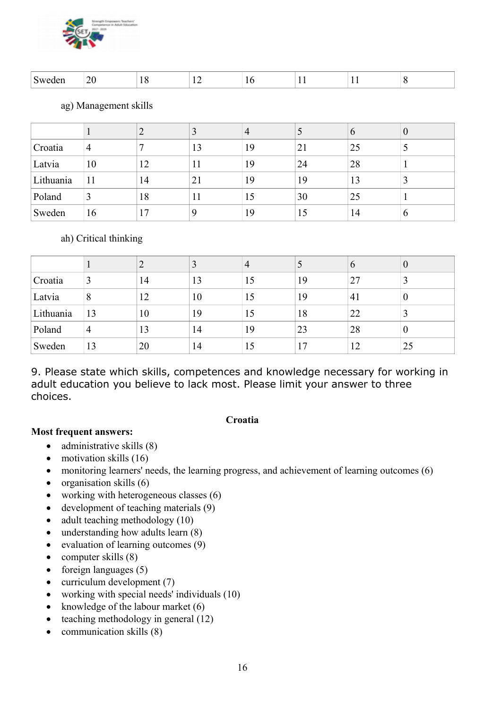

| ້<br>__ | . | ___ |  |  |
|---------|---|-----|--|--|
|         |   |     |  |  |

#### ag) Management skills

|           |    | ∠  |    |    |    | $\Omega$ | $\theta$      |
|-----------|----|----|----|----|----|----------|---------------|
| Croatia   | 4  |    | 13 | 19 | 21 | 25       |               |
| Latvia    | 10 | 12 | 11 | 19 | 24 | 28       |               |
| Lithuania | 11 | 14 | 21 | 19 | 19 | 13       | ر             |
| Poland    |    | 18 | 11 | 15 | 30 | 25       |               |
| Sweden    | 16 | 17 |    | 19 | 15 | 14       | $\mathfrak b$ |

#### ah) Critical thinking

|           |    |    |    |    |                 | $\Omega$ | $\boldsymbol{0}$ |
|-----------|----|----|----|----|-----------------|----------|------------------|
| Croatia   | 3  | 14 | 13 | 15 | 19              | 27       |                  |
| Latvia    | 8  | 12 | 10 | 15 | 19              | 41       | $\boldsymbol{0}$ |
| Lithuania | 13 | 10 | 19 | 15 | 18              | 22       |                  |
| Poland    | 4  | 13 | 14 | 19 | 23              | 28       | $\boldsymbol{0}$ |
| Sweden    | 13 | 20 | 14 | 15 | $\overline{17}$ |          | 25               |

9. Please state which skills, competences and knowledge necessary for working in adult education you believe to lack most. Please limit your answer to three choices.

#### **Croatia**

#### **Most frequent answers:**

- $\bullet$  administrative skills  $(8)$
- $\bullet$  motivation skills (16)
- monitoring learners' needs, the learning progress, and achievement of learning outcomes (6)
- organisation skills  $(6)$
- working with heterogeneous classes (6)
- $\bullet$  development of teaching materials  $(9)$
- $\bullet$  adult teaching methodology (10)
- understanding how adults learn (8)
- $\bullet$  evaluation of learning outcomes (9)
- computer skills  $(8)$
- $\bullet$  foreign languages (5)
- $\bullet$  curriculum development (7)
- working with special needs' individuals (10)
- knowledge of the labour market  $(6)$
- $\bullet$  teaching methodology in general (12)
- communication skills  $(8)$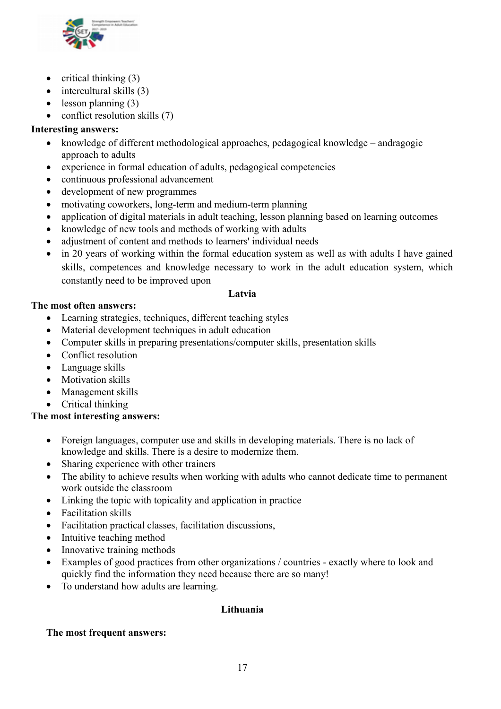

- $\bullet$  critical thinking (3)
- $\bullet$  intercultural skills  $(3)$
- $\bullet$  lesson planning (3)
- $\bullet$  conflict resolution skills  $(7)$

#### **Interesting answers:**

- knowledge of different methodological approaches, pedagogical knowledge andragogic approach to adults
- experience in formal education of adults, pedagogical competencies
- continuous professional advancement
- development of new programmes
- motivating coworkers, long-term and medium-term planning
- application of digital materials in adult teaching, lesson planning based on learning outcomes
- knowledge of new tools and methods of working with adults
- adjustment of content and methods to learners' individual needs
- in 20 years of working within the formal education system as well as with adults I have gained skills, competences and knowledge necessary to work in the adult education system, which constantly need to be improved upon

#### **Latvia**

#### **The most often answers:**

- Learning strategies, techniques, different teaching styles
- Material development techniques in adult education
- Computer skills in preparing presentations/computer skills, presentation skills
- Conflict resolution
- Language skills
- Motivation skills
- Management skills
- Critical thinking

#### **The most interesting answers:**

- Foreign languages, computer use and skills in developing materials. There is no lack of knowledge and skills. There is a desire to modernize them.
- Sharing experience with other trainers
- The ability to achieve results when working with adults who cannot dedicate time to permanent work outside the classroom
- Linking the topic with topicality and application in practice
- Facilitation skills
- Facilitation practical classes, facilitation discussions,
- Intuitive teaching method
- Innovative training methods
- Examples of good practices from other organizations / countries exactly where to look and quickly find the information they need because there are so many!
- To understand how adults are learning.

#### **Lithuania**

#### **The most frequent answers:**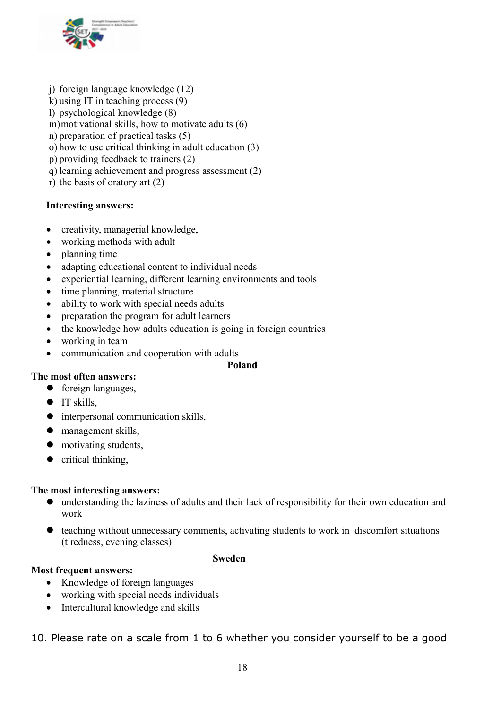

j) foreign language knowledge (12) k) using IT in teaching process (9) l) psychological knowledge (8) m)motivational skills, how to motivate adults (6) n) preparation of practical tasks (5) o) how to use critical thinking in adult education (3) p) providing feedback to trainers (2) q) learning achievement and progress assessment (2) r) the basis of oratory art (2)

#### **Interesting answers:**

- creativity, managerial knowledge,
- working methods with adult
- planning time
- adapting educational content to individual needs
- experiential learning, different learning environments and tools
- time planning, material structure
- ability to work with special needs adults
- preparation the program for adult learners
- the knowledge how adults education is going in foreign countries
- working in team
- communication and cooperation with adults

#### **Poland**

#### **The most often answers:**

- **•** foreign languages,
- **IT** skills,
- $\bullet$  interpersonal communication skills,
- management skills,
- motivating students,
- $\bullet$  critical thinking,

#### **The most interesting answers:**

- understanding the laziness of adults and their lack of responsibility for their own education and work
- teaching without unnecessary comments, activating students to work in discomfort situations (tiredness, evening classes)

#### **Sweden**

#### **Most frequent answers:**

- Knowledge of foreign languages
- working with special needs individuals
- Intercultural knowledge and skills

10. Please rate on a scale from 1 to 6 whether you consider yourself to be a good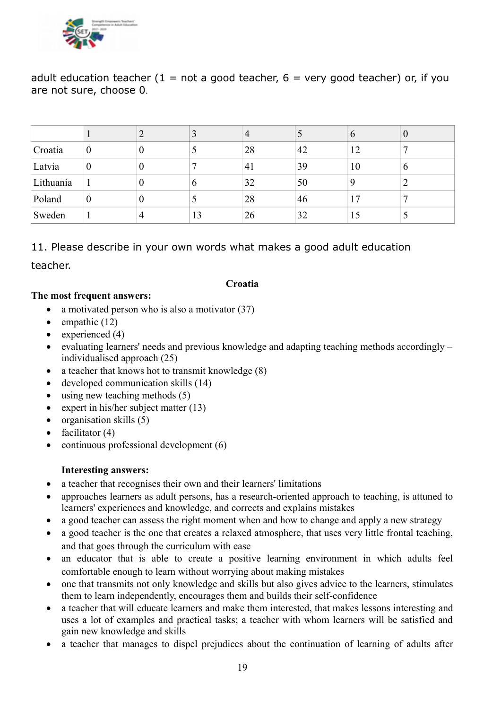

adult education teacher (1 = not a good teacher, 6 = very good teacher) or, if you are not sure, choose 0.

|           |   |   |    | 4  |    | O  | $\boldsymbol{0}$ |
|-----------|---|---|----|----|----|----|------------------|
| Croatia   | v | v |    | 28 | 42 | 12 |                  |
| Latvia    | v | v |    | 41 | 39 | 10 | $\mathbf b$      |
| Lithuania |   |   | o  | 32 | 50 |    | ∠                |
| Poland    | U |   |    | 28 | 46 | 17 |                  |
| Sweden    |   |   | 13 | 26 | 32 | 15 | C                |

# 11. Please describe in your own words what makes a good adult education

teacher.

#### **The most frequent answers:**

- a motivated person who is also a motivator  $(37)$
- $\bullet$  empathic (12)
- experienced  $(4)$
- evaluating learners' needs and previous knowledge and adapting teaching methods accordingly  $$ individualised approach (25)

**Croatia**

- a teacher that knows hot to transmit knowledge  $(8)$
- developed communication skills (14)
- $\bullet$  using new teaching methods  $(5)$
- expert in his/her subject matter  $(13)$
- organisation skills  $(5)$
- facilitator  $(4)$
- $\bullet$  continuous professional development  $(6)$

## **Interesting answers:**

- a teacher that recognises their own and their learners' limitations
- approaches learners as adult persons, has a research-oriented approach to teaching, is attuned to learners' experiences and knowledge, and corrects and explains mistakes
- a good teacher can assess the right moment when and how to change and apply a new strategy
- a good teacher is the one that creates a relaxed atmosphere, that uses very little frontal teaching, and that goes through the curriculum with ease
- an educator that is able to create a positive learning environment in which adults feel comfortable enough to learn without worrying about making mistakes
- one that transmits not only knowledge and skills but also gives advice to the learners, stimulates them to learn independently, encourages them and builds their self-confidence
- a teacher that will educate learners and make them interested, that makes lessons interesting and uses a lot of examples and practical tasks; a teacher with whom learners will be satisfied and gain new knowledge and skills
- a teacher that manages to dispel prejudices about the continuation of learning of adults after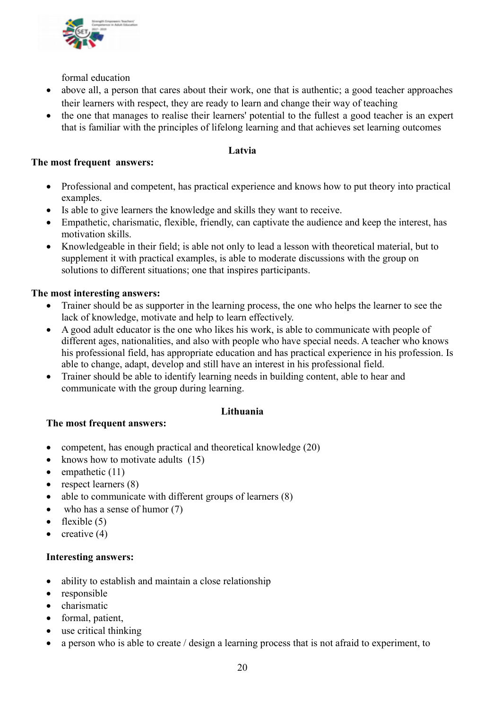

formal education

- above all, a person that cares about their work, one that is authentic; a good teacher approaches their learners with respect, they are ready to learn and change their way of teaching
- the one that manages to realise their learners' potential to the fullest a good teacher is an expert that is familiar with the principles of lifelong learning and that achieves set learning outcomes

#### **Latvia**

#### **The most frequent answers:**

- Professional and competent, has practical experience and knows how to put theory into practical examples.
- Is able to give learners the knowledge and skills they want to receive.
- Empathetic, charismatic, flexible, friendly, can captivate the audience and keep the interest, has motivation skills.
- Knowledgeable in their field; is able not only to lead a lesson with theoretical material, but to supplement it with practical examples, is able to moderate discussions with the group on solutions to different situations; one that inspires participants.

#### **The most interesting answers:**

- Trainer should be as supporter in the learning process, the one who helps the learner to see the lack of knowledge, motivate and help to learn effectively.
- A good adult educator is the one who likes his work, is able to communicate with people of different ages, nationalities, and also with people who have special needs. A teacher who knows his professional field, has appropriate education and has practical experience in his profession. Is able to change, adapt, develop and still have an interest in his professional field.
- Trainer should be able to identify learning needs in building content, able to hear and communicate with the group during learning.

#### **Lithuania**

#### **The most frequent answers:**

- competent, has enough practical and theoretical knowledge  $(20)$
- knows how to motivate adults  $(15)$
- $\bullet$  empathetic (11)
- $\bullet$  respect learners  $(8)$
- able to communicate with different groups of learners (8)
- who has a sense of humor (7)
- $\bullet$  flexible (5)
- $\bullet$  creative (4)

#### **Interesting answers:**

- ability to establish and maintain a close relationship
- responsible
- charismatic
- formal, patient,
- use critical thinking
- a person who is able to create / design a learning process that is not afraid to experiment, to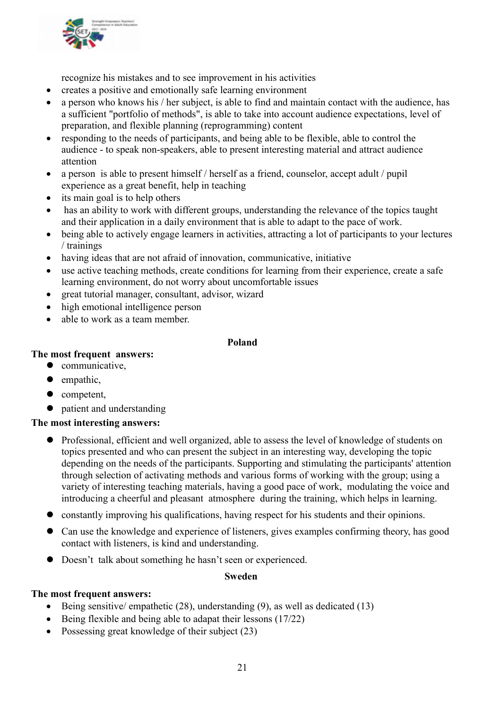

recognize his mistakes and to see improvement in his activities

- creates a positive and emotionally safe learning environment
- a person who knows his / her subject, is able to find and maintain contact with the audience, has a sufficient "portfolio of methods", is able to take into account audience expectations, level of preparation, and flexible planning (reprogramming) content
- responding to the needs of participants, and being able to be flexible, able to control the audience - to speak non-speakers, able to present interesting material and attract audience attention
- a person is able to present himself / herself as a friend, counselor, accept adult / pupil experience as a great benefit, help in teaching
- its main goal is to help others
- has an ability to work with different groups, understanding the relevance of the topics taught and their application in a daily environment that is able to adapt to the pace of work.
- being able to actively engage learners in activities, attracting a lot of participants to your lectures / trainings
- having ideas that are not afraid of innovation, communicative, initiative
- use active teaching methods, create conditions for learning from their experience, create a safe learning environment, do not worry about uncomfortable issues
- great tutorial manager, consultant, advisor, wizard
- high emotional intelligence person
- able to work as a team member.

#### **Poland**

#### **The most frequent answers:**

- $\bullet$  communicative.
- empathic,
- competent,
- patient and understanding

#### **The most interesting answers:**

- Professional, efficient and well organized, able to assess the level of knowledge of students on topics presented and who can present the subject in an interesting way, developing the topic depending on the needs of the participants. Supporting and stimulating the participants' attention through selection of activating methods and various forms of working with the group; using a variety of interesting teaching materials, having a good pace of work, modulating the voice and introducing a cheerful and pleasant atmosphere during the training, which helps in learning.
- constantly improving his qualifications, having respect for his students and their opinions.
- Can use the knowledge and experience of listeners, gives examples confirming theory, has good contact with listeners, is kind and understanding.
- Doesn't talk about something he hasn't seen or experienced.

#### **Sweden**

#### **The most frequent answers:**

- Being sensitive/ empathetic  $(28)$ , understanding  $(9)$ , as well as dedicated  $(13)$
- $\bullet$  Being flexible and being able to adapat their lessons (17/22)
- Possessing great knowledge of their subject (23)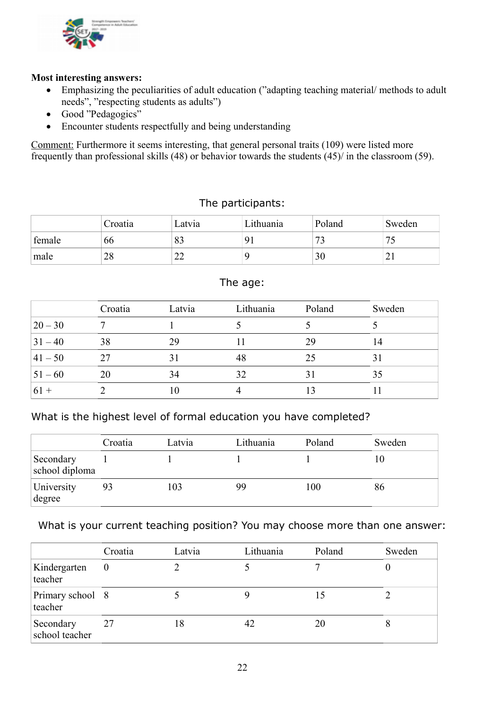

#### **Most interesting answers:**

- Emphasizing the peculiarities of adult education ("adapting teaching material/ methods to adult needs", "respecting students as adults")
- Good "Pedagogics"
- Encounter students respectfully and being understanding

Comment: Furthermore it seems interesting, that general personal traits (109) were listed more frequently than professional skills (48) or behavior towards the students (45)/ in the classroom (59).

|  | The participants: |
|--|-------------------|
|--|-------------------|

|        | Croatia | Latvia   | Lithuania | Poland         | Sweden |
|--------|---------|----------|-----------|----------------|--------|
| female | 66      | 83       |           | $\overline{ }$ | ັ      |
| male   | 28      | ^^<br>∠∠ |           | 30             | ∠⊥     |

|             | Croatia | Latvia | Lithuania | Poland | Sweden |
|-------------|---------|--------|-----------|--------|--------|
| $ 20 - 30 $ |         |        |           |        |        |
| $31 - 40$   | 38      | 29     |           | 29     | 14     |
| $ 41 - 50 $ | 27      | 31     | 48        | 25     | 31     |
| $ 51 - 60 $ | 20      | 34     | 32        |        | 35     |
| $61 +$      |         | 10     |           |        |        |

#### The age:

## What is the highest level of formal education you have completed?

|                             | Croatia | Latvia | Lithuania | Poland | Sweden |
|-----------------------------|---------|--------|-----------|--------|--------|
| Secondary<br>school diploma |         |        |           |        | 10     |
| University<br>degree        | 93      | 103    | 99        | 100    | 86     |

#### What is your current teaching position? You may choose more than one answer:

|                             | Croatia  | Latvia | Lithuania | Poland | Sweden |
|-----------------------------|----------|--------|-----------|--------|--------|
| Kindergarten<br>teacher     | $\theta$ |        |           |        |        |
| Primary school 8<br>teacher |          |        |           |        |        |
| Secondary<br>school teacher | 27       | 18     | 42        | 20     |        |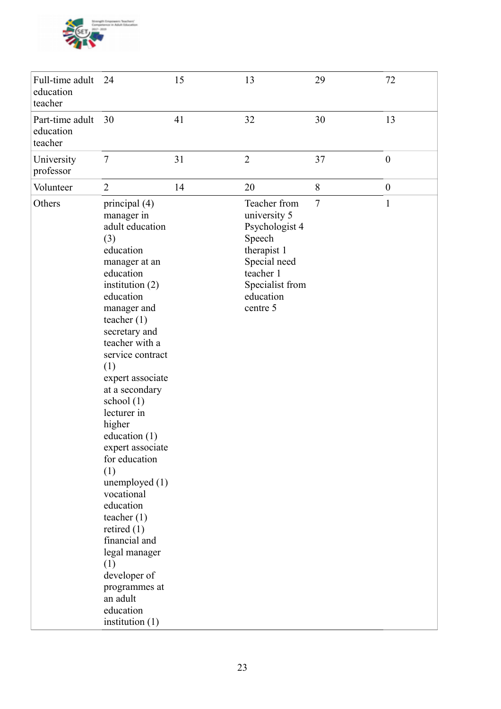

| Full-time adult<br>education<br>teacher | 24                                                                                                                                                                                                                                                                                                                                                                                                                                                                                                                                                                                      | 15 | 13                                                                                                                                               | 29     | 72               |
|-----------------------------------------|-----------------------------------------------------------------------------------------------------------------------------------------------------------------------------------------------------------------------------------------------------------------------------------------------------------------------------------------------------------------------------------------------------------------------------------------------------------------------------------------------------------------------------------------------------------------------------------------|----|--------------------------------------------------------------------------------------------------------------------------------------------------|--------|------------------|
| Part-time adult<br>education<br>teacher | 30                                                                                                                                                                                                                                                                                                                                                                                                                                                                                                                                                                                      | 41 | 32                                                                                                                                               | 30     | 13               |
| University<br>professor                 | $\overline{7}$                                                                                                                                                                                                                                                                                                                                                                                                                                                                                                                                                                          | 31 | $\overline{2}$                                                                                                                                   | 37     | $\boldsymbol{0}$ |
| Volunteer                               | $\overline{2}$                                                                                                                                                                                                                                                                                                                                                                                                                                                                                                                                                                          | 14 | 20                                                                                                                                               | 8      | $\boldsymbol{0}$ |
| Others                                  | principal (4)<br>manager in<br>adult education<br>(3)<br>education<br>manager at an<br>education<br>institution $(2)$<br>education<br>manager and<br>teacher $(1)$<br>secretary and<br>teacher with a<br>service contract<br>(1)<br>expert associate<br>at a secondary<br>school $(1)$<br>lecturer in<br>higher<br>education $(1)$<br>expert associate<br>for education<br>(1)<br>unemployed $(1)$<br>vocational<br>education<br>teacher $(1)$<br>retired $(1)$<br>financial and<br>legal manager<br>(1)<br>developer of<br>programmes at<br>an adult<br>education<br>institution $(1)$ |    | Teacher from<br>university 5<br>Psychologist 4<br>Speech<br>therapist 1<br>Special need<br>teacher 1<br>Specialist from<br>education<br>centre 5 | $\tau$ | $\mathbf{1}$     |